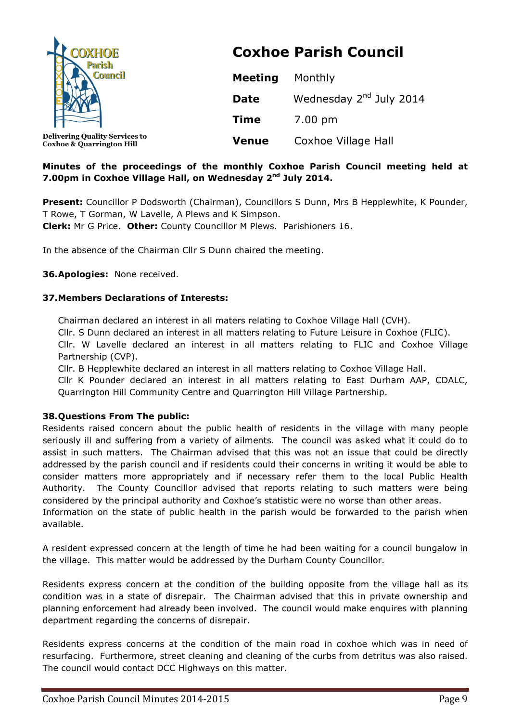| <b>COXHOE</b><br><b>Parish</b><br><b>Council</b>                              |                | <b>Coxhoe Parish Council</b>        |
|-------------------------------------------------------------------------------|----------------|-------------------------------------|
|                                                                               | <b>Meeting</b> | Monthly                             |
|                                                                               | <b>Date</b>    | Wednesday 2 <sup>nd</sup> July 2014 |
|                                                                               | <b>Time</b>    | 7.00 pm                             |
| <b>Delivering Quality Services to</b><br><b>Coxhoe &amp; Quarrington Hill</b> | <b>Venue</b>   | Coxhoe Village Hall                 |

## **Minutes of the proceedings of the monthly Coxhoe Parish Council meeting held at 7.00pm in Coxhoe Village Hall, on Wednesday 2nd July 2014.**

**Present:** Councillor P Dodsworth (Chairman), Councillors S Dunn, Mrs B Hepplewhite, K Pounder, T Rowe, T Gorman, W Lavelle, A Plews and K Simpson.

**Clerk:** Mr G Price. **Other:** County Councillor M Plews. Parishioners 16.

In the absence of the Chairman Cllr S Dunn chaired the meeting.

**36.Apologies:** None received.

## **37.Members Declarations of Interests:**

Chairman declared an interest in all maters relating to Coxhoe Village Hall (CVH).

Cllr. S Dunn declared an interest in all matters relating to Future Leisure in Coxhoe (FLIC).

Cllr. W Lavelle declared an interest in all matters relating to FLIC and Coxhoe Village Partnership (CVP).

Cllr. B Hepplewhite declared an interest in all matters relating to Coxhoe Village Hall.

Cllr K Pounder declared an interest in all matters relating to East Durham AAP, CDALC, Quarrington Hill Community Centre and Quarrington Hill Village Partnership.

### **38.Questions From The public:**

Residents raised concern about the public health of residents in the village with many people seriously ill and suffering from a variety of ailments. The council was asked what it could do to assist in such matters. The Chairman advised that this was not an issue that could be directly addressed by the parish council and if residents could their concerns in writing it would be able to consider matters more appropriately and if necessary refer them to the local Public Health Authority. The County Councillor advised that reports relating to such matters were being considered by the principal authority and Coxhoe's statistic were no worse than other areas.

Information on the state of public health in the parish would be forwarded to the parish when available.

A resident expressed concern at the length of time he had been waiting for a council bungalow in the village. This matter would be addressed by the Durham County Councillor.

Residents express concern at the condition of the building opposite from the village hall as its condition was in a state of disrepair. The Chairman advised that this in private ownership and planning enforcement had already been involved. The council would make enquires with planning department regarding the concerns of disrepair.

Residents express concerns at the condition of the main road in coxhoe which was in need of resurfacing. Furthermore, street cleaning and cleaning of the curbs from detritus was also raised. The council would contact DCC Highways on this matter.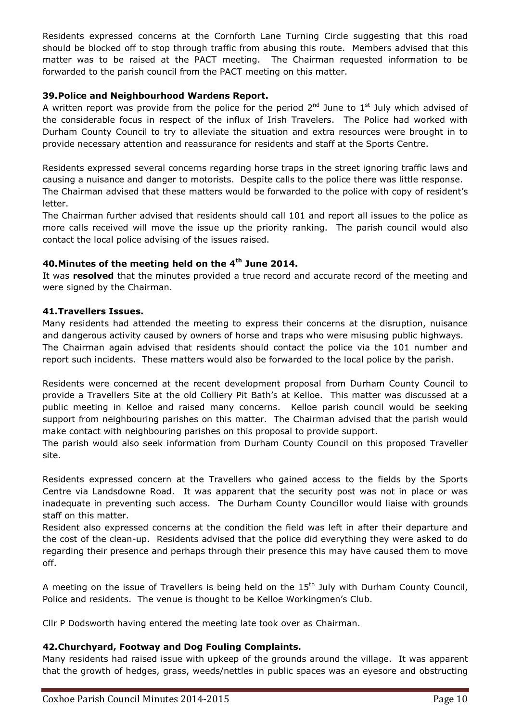Residents expressed concerns at the Cornforth Lane Turning Circle suggesting that this road should be blocked off to stop through traffic from abusing this route. Members advised that this matter was to be raised at the PACT meeting. The Chairman requested information to be forwarded to the parish council from the PACT meeting on this matter.

## **39.Police and Neighbourhood Wardens Report.**

A written report was provide from the police for the period  $2^{nd}$  June to  $1^{st}$  July which advised of the considerable focus in respect of the influx of Irish Travelers. The Police had worked with Durham County Council to try to alleviate the situation and extra resources were brought in to provide necessary attention and reassurance for residents and staff at the Sports Centre.

Residents expressed several concerns regarding horse traps in the street ignoring traffic laws and causing a nuisance and danger to motorists. Despite calls to the police there was little response. The Chairman advised that these matters would be forwarded to the police with copy of resident's letter.

The Chairman further advised that residents should call 101 and report all issues to the police as more calls received will move the issue up the priority ranking. The parish council would also contact the local police advising of the issues raised.

## **40.Minutes of the meeting held on the 4th June 2014.**

It was **resolved** that the minutes provided a true record and accurate record of the meeting and were signed by the Chairman.

### **41.Travellers Issues.**

Many residents had attended the meeting to express their concerns at the disruption, nuisance and dangerous activity caused by owners of horse and traps who were misusing public highways. The Chairman again advised that residents should contact the police via the 101 number and report such incidents. These matters would also be forwarded to the local police by the parish.

Residents were concerned at the recent development proposal from Durham County Council to provide a Travellers Site at the old Colliery Pit Bath's at Kelloe. This matter was discussed at a public meeting in Kelloe and raised many concerns. Kelloe parish council would be seeking support from neighbouring parishes on this matter. The Chairman advised that the parish would make contact with neighbouring parishes on this proposal to provide support.

The parish would also seek information from Durham County Council on this proposed Traveller site.

Residents expressed concern at the Travellers who gained access to the fields by the Sports Centre via Landsdowne Road. It was apparent that the security post was not in place or was inadequate in preventing such access. The Durham County Councillor would liaise with grounds staff on this matter.

Resident also expressed concerns at the condition the field was left in after their departure and the cost of the clean-up. Residents advised that the police did everything they were asked to do regarding their presence and perhaps through their presence this may have caused them to move off.

A meeting on the issue of Travellers is being held on the  $15<sup>th</sup>$  July with Durham County Council, Police and residents. The venue is thought to be Kelloe Workingmen's Club.

Cllr P Dodsworth having entered the meeting late took over as Chairman.

### **42.Churchyard, Footway and Dog Fouling Complaints.**

Many residents had raised issue with upkeep of the grounds around the village. It was apparent that the growth of hedges, grass, weeds/nettles in public spaces was an eyesore and obstructing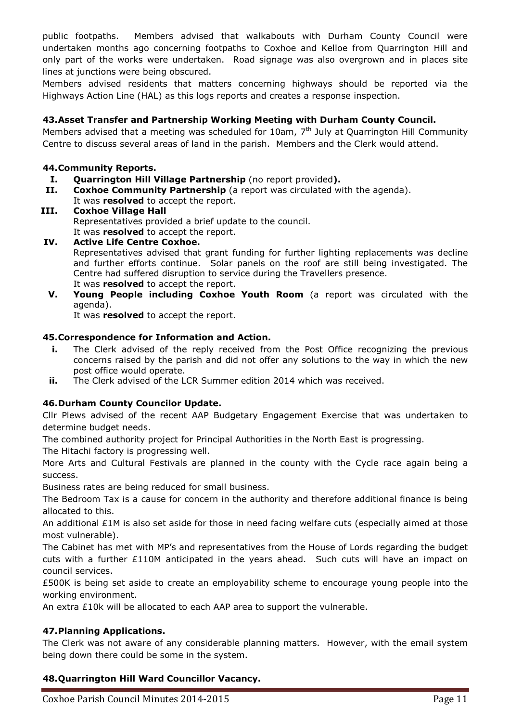public footpaths. Members advised that walkabouts with Durham County Council were undertaken months ago concerning footpaths to Coxhoe and Kelloe from Quarrington Hill and only part of the works were undertaken. Road signage was also overgrown and in places site lines at junctions were being obscured.

Members advised residents that matters concerning highways should be reported via the Highways Action Line (HAL) as this logs reports and creates a response inspection.

## **43.Asset Transfer and Partnership Working Meeting with Durham County Council.**

Members advised that a meeting was scheduled for 10am,  $7<sup>th</sup>$  July at Quarrington Hill Community Centre to discuss several areas of land in the parish. Members and the Clerk would attend.

## **44.Community Reports.**

- **I. Quarrington Hill Village Partnership** (no report provided**).**
- **II. Coxhoe Community Partnership** (a report was circulated with the agenda). It was **resolved** to accept the report.
- **III. Coxhoe Village Hall**  Representatives provided a brief update to the council. It was **resolved** to accept the report.
- **IV. Active Life Centre Coxhoe.**  Representatives advised that grant funding for further lighting replacements was decline and further efforts continue. Solar panels on the roof are still being investigated. The Centre had suffered disruption to service during the Travellers presence. It was **resolved** to accept the report.
- **V. Young People including Coxhoe Youth Room** (a report was circulated with the agenda).

It was **resolved** to accept the report.

### **45.Correspondence for Information and Action.**

- **i.** The Clerk advised of the reply received from the Post Office recognizing the previous concerns raised by the parish and did not offer any solutions to the way in which the new post office would operate.
- **ii.** The Clerk advised of the LCR Summer edition 2014 which was received.

### **46.Durham County Councilor Update.**

Cllr Plews advised of the recent AAP Budgetary Engagement Exercise that was undertaken to determine budget needs.

The combined authority project for Principal Authorities in the North East is progressing.

The Hitachi factory is progressing well.

More Arts and Cultural Festivals are planned in the county with the Cycle race again being a success.

Business rates are being reduced for small business.

The Bedroom Tax is a cause for concern in the authority and therefore additional finance is being allocated to this.

An additional £1M is also set aside for those in need facing welfare cuts (especially aimed at those most vulnerable).

The Cabinet has met with MP's and representatives from the House of Lords regarding the budget cuts with a further  $£110M$  anticipated in the years ahead. Such cuts will have an impact on council services.

£500K is being set aside to create an employability scheme to encourage young people into the working environment.

An extra £10k will be allocated to each AAP area to support the vulnerable.

### **47.Planning Applications.**

The Clerk was not aware of any considerable planning matters. However, with the email system being down there could be some in the system.

# **48.Quarrington Hill Ward Councillor Vacancy.**

Coxhoe Parish Council Minutes 2014-2015